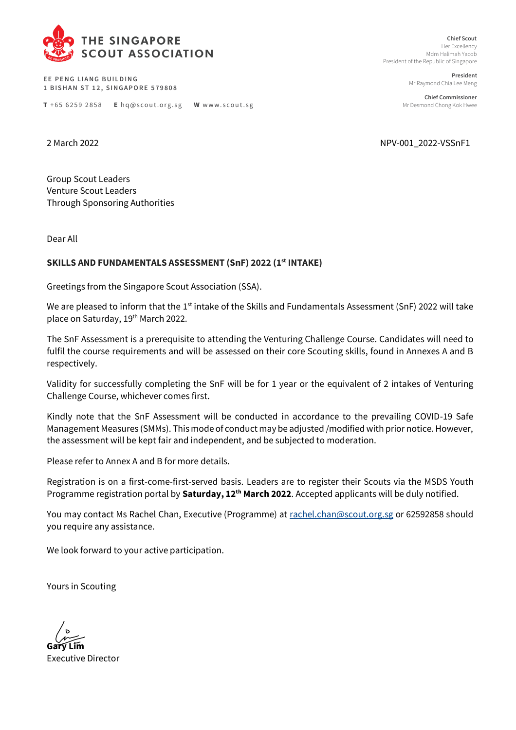

**EE PENG LIANG BUILDING 1 B I S H A N S T 1 2 , S I N G A P O R E 5 7 9 8 0 8** 

**T** +65 6259 2858 **E** hq@scout.org.sg **W** www.scout.sg

**Chief Scout** Her Excellency Mdm Halimah Yacob President of the Republic of Singapore

> **President** Mr Raymond Chia Lee Meng

**Chief Commissioner** Mr Desmond Chong Kok Hwee

2 March 2022 NPV-001\_2022-VSSnF1

Group Scout Leaders Venture Scout Leaders Through Sponsoring Authorities

Dear All

#### **SKILLS AND FUNDAMENTALS ASSESSMENT (SnF) 2022 (1 st INTAKE)**

Greetings from the Singapore Scout Association (SSA).

We are pleased to inform that the 1<sup>st</sup> intake of the Skills and Fundamentals Assessment (SnF) 2022 will take place on Saturday, 19<sup>th</sup> March 2022.

The SnF Assessment is a prerequisite to attending the Venturing Challenge Course. Candidates will need to fulfil the course requirements and will be assessed on their core Scouting skills, found in Annexes A and B respectively.

Validity for successfully completing the SnF will be for 1 year or the equivalent of 2 intakes of Venturing Challenge Course, whichever comes first.

Kindly note that the SnF Assessment will be conducted in accordance to the prevailing COVID-19 Safe Management Measures (SMMs). This mode of conduct may be adjusted /modified with prior notice. However, the assessment will be kept fair and independent, and be subjected to moderation.

Please refer to Annex A and B for more details.

Registration is on a first-come-first-served basis. Leaders are to register their Scouts via the MSDS Youth Programme registration portal by **Saturday, 12th March 2022**. Accepted applicants will be duly notified.

You may contact Ms Rachel Chan, Executive (Programme) at [rachel.chan@scout.org.sg](mailto:rachel.chan@scout.org.sg) or 62592858 should you require any assistance.

We look forward to your active participation.

Yours in Scouting

**Gary Lim** 

Executive Director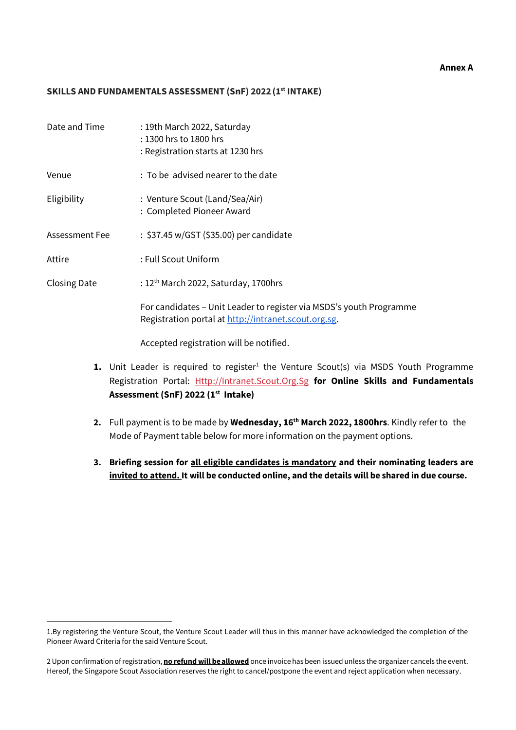#### **Annex A**

#### **SKILLS AND FUNDAMENTALS ASSESSMENT (SnF) 2022(1 st INTAKE)**

| Date and Time       | : 19th March 2022, Saturday<br>: 1300 hrs to 1800 hrs<br>: Registration starts at 1230 hrs                                  |
|---------------------|-----------------------------------------------------------------------------------------------------------------------------|
| Venue               | : To be advised nearer to the date                                                                                          |
| Eligibility         | : Venture Scout (Land/Sea/Air)<br>: Completed Pioneer Award                                                                 |
| Assessment Fee      | : \$37.45 w/GST (\$35.00) per candidate                                                                                     |
| Attire              | : Full Scout Uniform                                                                                                        |
| <b>Closing Date</b> | : $12th$ March 2022, Saturday, 1700hrs                                                                                      |
|                     | For candidates – Unit Leader to register via MSDS's youth Programme<br>Registration portal at http://intranet.scout.org.sg. |
|                     | Accepted registration will be notified.                                                                                     |

- 1. Unit Leader is required to register<sup>1</sup> the Venture Scout(s) via MSDS Youth Programme Registration Portal: [Http://Intranet.Scout.Org.Sg](http://intranet.scout.org.sg/) **for Online Skills and Fundamentals Assessment (SnF) 2022 (1st Intake)**
- **2.** Full payment is to be made by **Wednesday, 16th March 2022, 1800hrs**. Kindly refer to the Mode of Payment table below for more information on the payment options.
- **3. Briefing session for all eligible candidates is mandatory and their nominating leaders are invited to attend. It will be conducted online, and the details will be shared in due course.**

<sup>1.</sup>By registering the Venture Scout, the Venture Scout Leader will thus in this manner have acknowledged the completion of the Pioneer Award Criteria for the said Venture Scout.

<sup>2</sup> Upon confirmation of registration, **no refund will be allowed** once invoice has been issued unless the organizer cancels the event. Hereof, the Singapore Scout Association reserves the right to cancel/postpone the event and reject application when necessary.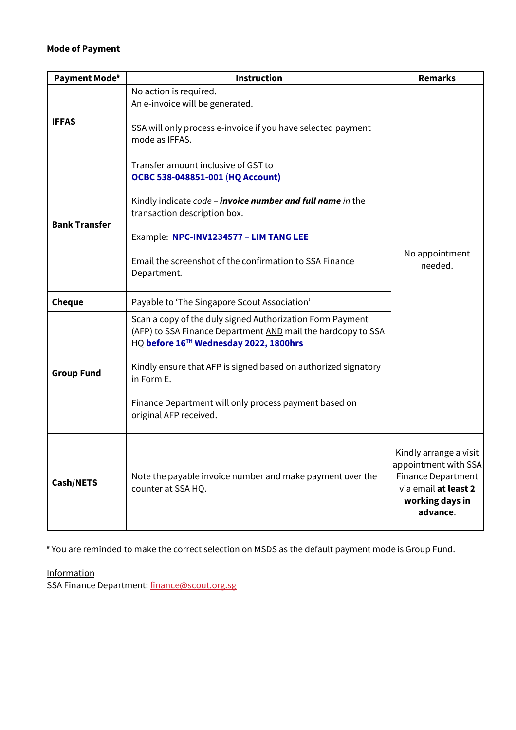# **Mode of Payment**

| <b>Payment Mode#</b> | <b>Instruction</b>                                                                                                                                                                                                                                                                                                                     | <b>Remarks</b>                                                                                                                     |
|----------------------|----------------------------------------------------------------------------------------------------------------------------------------------------------------------------------------------------------------------------------------------------------------------------------------------------------------------------------------|------------------------------------------------------------------------------------------------------------------------------------|
| <b>IFFAS</b>         | No action is required.<br>An e-invoice will be generated.<br>SSA will only process e-invoice if you have selected payment<br>mode as IFFAS.                                                                                                                                                                                            |                                                                                                                                    |
| <b>Bank Transfer</b> | Transfer amount inclusive of GST to<br>OCBC 538-048851-001 (HQ Account)<br>Kindly indicate code - <b>invoice number and full name</b> in the<br>transaction description box.<br>Example: NPC-INV1234577 - LIM TANG LEE<br>Email the screenshot of the confirmation to SSA Finance<br>Department.                                       | No appointment<br>needed.                                                                                                          |
| <b>Cheque</b>        | Payable to 'The Singapore Scout Association'                                                                                                                                                                                                                                                                                           |                                                                                                                                    |
| <b>Group Fund</b>    | Scan a copy of the duly signed Authorization Form Payment<br>(AFP) to SSA Finance Department AND mail the hardcopy to SSA<br>HQ before 16TH Wednesday 2022, 1800hrs<br>Kindly ensure that AFP is signed based on authorized signatory<br>in Form E.<br>Finance Department will only process payment based on<br>original AFP received. |                                                                                                                                    |
| Cash/NETS            | Note the payable invoice number and make payment over the<br>counter at SSA HQ.                                                                                                                                                                                                                                                        | Kindly arrange a visit<br>appointment with SSA<br><b>Finance Department</b><br>via email at least 2<br>working days in<br>advance. |

# You are reminded to make the correct selection on MSDS as the default payment mode is Group Fund.

**Information** 

SSA Finance Department: [finance@scout.org.sg](mailto:finance@scout.org.sg)